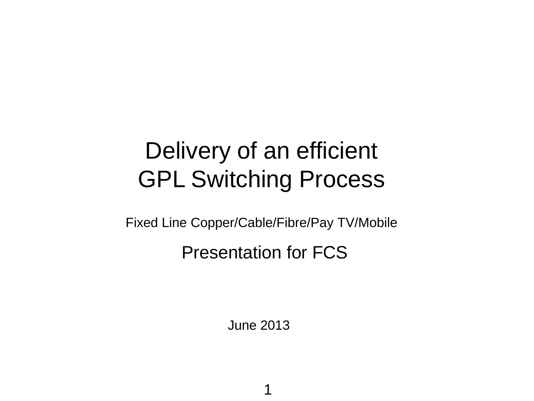# Delivery of an efficient GPL Switching Process

Fixed Line Copper/Cable/Fibre/Pay TV/Mobile

#### Presentation for FCS

June 2013

1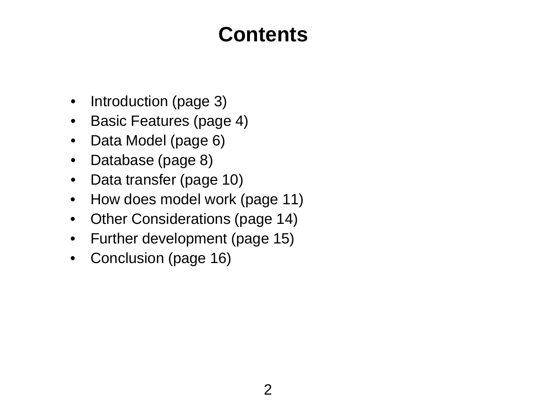## **Contents**

- Introduction (page 3)
- Basic Features (page 4)
- Data Model (page 6)
- Database (page 8)
- Data transfer (page 10)
- How does model work (page 11)
- Other Considerations (page 14)
- Further development (page 15)
- Conclusion (page 16)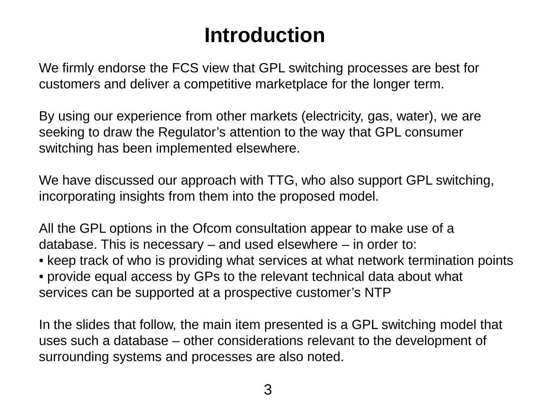## **Introduction**

We firmly endorse the FCS view that GPL switching processes are best for customers and deliver a competitive marketplace for the longer term.

By using our experience from other markets (electricity, gas, water), we are seeking to draw the Regulator's attention to the way that GPL consumer switching has been implemented elsewhere.

We have discussed our approach with TTG, who also support GPL switching, incorporating insights from them into the proposed model.

All the GPL options in the Ofcom consultation appear to make use of a database. This is necessary – and used elsewhere – in order to:

• keep track of who is providing what services at what network termination points • provide equal access by GPs to the relevant technical data about what services can be supported at a prospective customer's NTP

In the slides that follow, the main item presented is a GPL switching model that uses such a database – other considerations relevant to the development of surrounding systems and processes are also noted.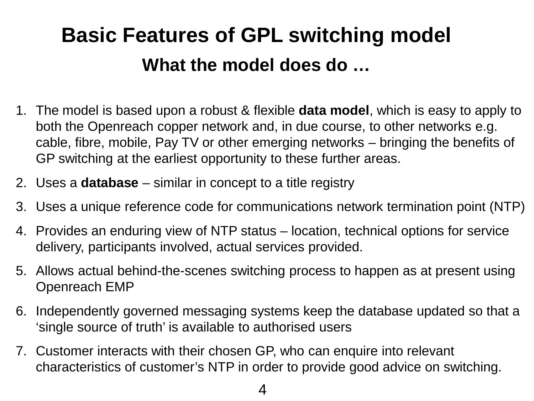# **Basic Features of GPL switching model What the model does do …**

- 1. The model is based upon a robust & flexible **data model**, which is easy to apply to both the Openreach copper network and, in due course, to other networks e.g. cable, fibre, mobile, Pay TV or other emerging networks – bringing the benefits of GP switching at the earliest opportunity to these further areas.
- 2. Uses a **database** similar in concept to a title registry
- 3. Uses a unique reference code for communications network termination point (NTP)
- 4. Provides an enduring view of NTP status location, technical options for service delivery, participants involved, actual services provided.
- 5. Allows actual behind-the-scenes switching process to happen as at present using Openreach EMP
- 6. Independently governed messaging systems keep the database updated so that a 'single source of truth' is available to authorised users
- 7. Customer interacts with their chosen GP, who can enquire into relevant characteristics of customer's NTP in order to provide good advice on switching.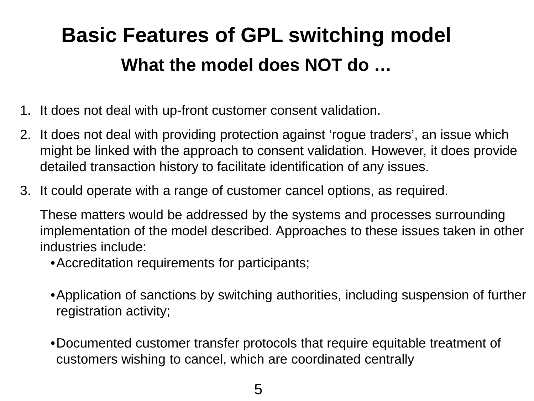# **Basic Features of GPL switching model What the model does NOT do …**

- 1. It does not deal with up-front customer consent validation.
- 2. It does not deal with providing protection against 'rogue traders', an issue which might be linked with the approach to consent validation. However, it does provide detailed transaction history to facilitate identification of any issues.
- 3. It could operate with a range of customer cancel options, as required.

These matters would be addressed by the systems and processes surrounding implementation of the model described. Approaches to these issues taken in other industries include:

•Accreditation requirements for participants;

- •Application of sanctions by switching authorities, including suspension of further registration activity;
- •Documented customer transfer protocols that require equitable treatment of customers wishing to cancel, which are coordinated centrally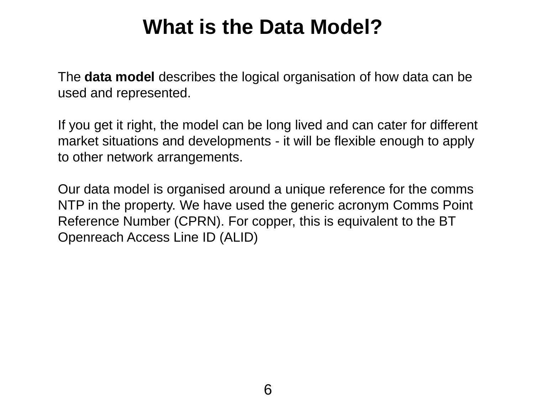## **What is the Data Model?**

The **data model** describes the logical organisation of how data can be used and represented.

If you get it right, the model can be long lived and can cater for different market situations and developments - it will be flexible enough to apply to other network arrangements.

Our data model is organised around a unique reference for the comms NTP in the property. We have used the generic acronym Comms Point Reference Number (CPRN). For copper, this is equivalent to the BT Openreach Access Line ID (ALID)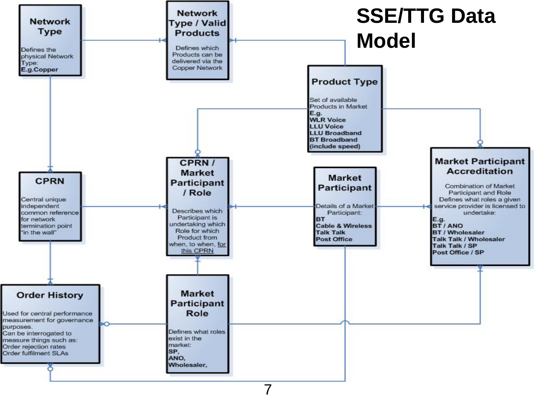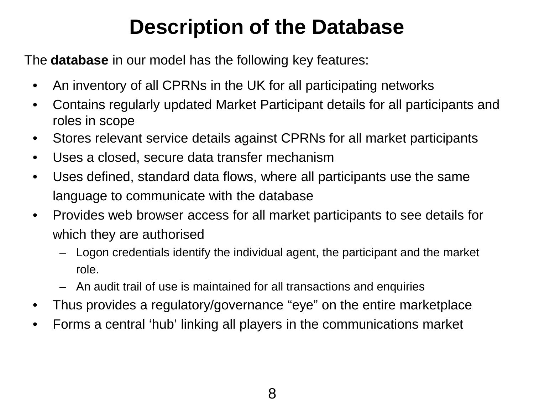## **Description of the Database**

The **database** in our model has the following key features:

- An inventory of all CPRNs in the UK for all participating networks
- Contains regularly updated Market Participant details for all participants and roles in scope
- Stores relevant service details against CPRNs for all market participants
- Uses a closed, secure data transfer mechanism
- Uses defined, standard data flows, where all participants use the same language to communicate with the database
- Provides web browser access for all market participants to see details for which they are authorised
	- Logon credentials identify the individual agent, the participant and the market role.
	- An audit trail of use is maintained for all transactions and enquiries
- Thus provides a regulatory/governance "eye" on the entire marketplace
- Forms a central 'hub' linking all players in the communications market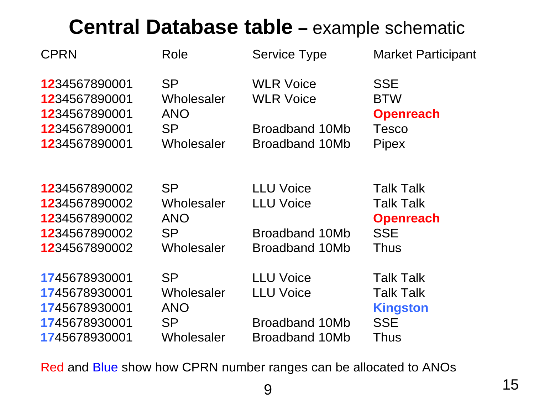## **Central Database table –** example schematic

| Role       | <b>Service Type</b>     | <b>Market Participant</b>            |
|------------|-------------------------|--------------------------------------|
| <b>SP</b>  | <b>WLR Voice</b>        | <b>SSE</b>                           |
| Wholesaler | <b>WLR Voice</b>        | <b>BTW</b>                           |
| <b>ANO</b> |                         | <b>Openreach</b>                     |
| <b>SP</b>  | Broadband 10Mb          | <b>Tesco</b>                         |
| Wholesaler | <b>Broadband 10Mb</b>   | Pipex                                |
|            |                         | <b>Talk Talk</b>                     |
|            |                         | <b>Talk Talk</b>                     |
| <b>ANO</b> |                         | <b>Openreach</b>                     |
| <b>SP</b>  | Broadband 10Mb          | <b>SSE</b>                           |
| Wholesaler | Broadband 10Mb          | <b>Thus</b>                          |
| <b>SP</b>  | <b>LLU Voice</b>        | <b>Talk Talk</b>                     |
| Wholesaler | <b>LLU Voice</b>        | <b>Talk Talk</b>                     |
| <b>ANO</b> |                         | <b>Kingston</b>                      |
| <b>SP</b>  | Broadband 10Mb          | <b>SSE</b>                           |
| Wholesaler | Broadband 10Mb          | Thus                                 |
|            | <b>SP</b><br>Wholesaler | <b>LLU Voice</b><br><b>LLU Voice</b> |

Red and Blue show how CPRN number ranges can be allocated to ANOs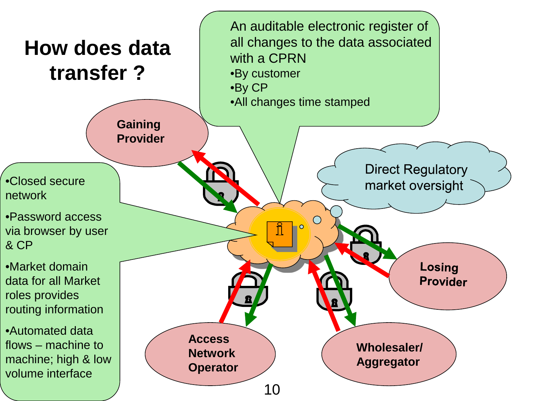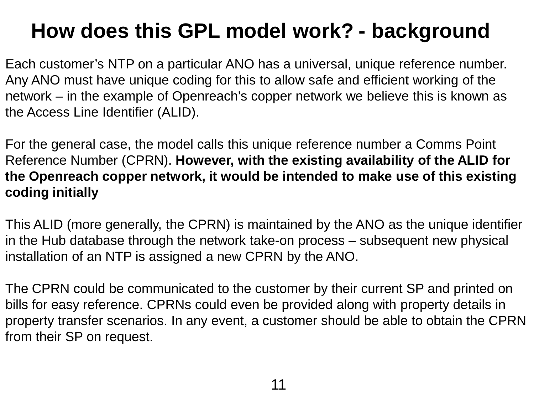## **How does this GPL model work? - background**

Each customer's NTP on a particular ANO has a universal, unique reference number. Any ANO must have unique coding for this to allow safe and efficient working of the network – in the example of Openreach's copper network we believe this is known as the Access Line Identifier (ALID).

For the general case, the model calls this unique reference number a Comms Point Reference Number (CPRN). **However, with the existing availability of the ALID for the Openreach copper network, it would be intended to make use of this existing coding initially**

This ALID (more generally, the CPRN) is maintained by the ANO as the unique identifier in the Hub database through the network take-on process – subsequent new physical installation of an NTP is assigned a new CPRN by the ANO.

The CPRN could be communicated to the customer by their current SP and printed on bills for easy reference. CPRNs could even be provided along with property details in property transfer scenarios. In any event, a customer should be able to obtain the CPRN from their SP on request.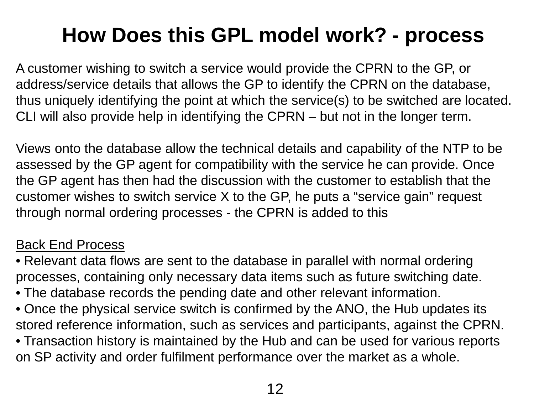## **How Does this GPL model work? - process**

A customer wishing to switch a service would provide the CPRN to the GP, or address/service details that allows the GP to identify the CPRN on the database, thus uniquely identifying the point at which the service(s) to be switched are located. CLI will also provide help in identifying the CPRN – but not in the longer term.

Views onto the database allow the technical details and capability of the NTP to be assessed by the GP agent for compatibility with the service he can provide. Once the GP agent has then had the discussion with the customer to establish that the customer wishes to switch service X to the GP, he puts a "service gain" request through normal ordering processes - the CPRN is added to this

#### Back End Process

• Relevant data flows are sent to the database in parallel with normal ordering processes, containing only necessary data items such as future switching date.

- The database records the pending date and other relevant information.
- Once the physical service switch is confirmed by the ANO, the Hub updates its stored reference information, such as services and participants, against the CPRN.
- Transaction history is maintained by the Hub and can be used for various reports on SP activity and order fulfilment performance over the market as a whole.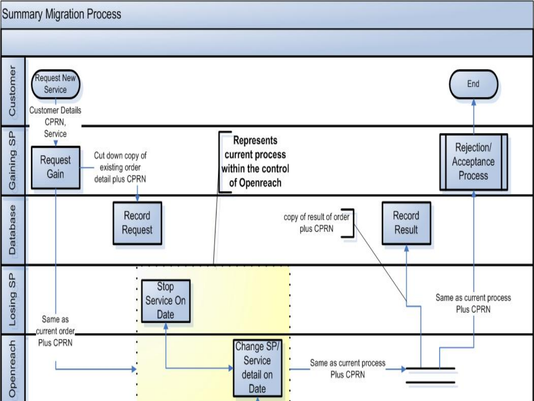#### **Summary Migration Process**

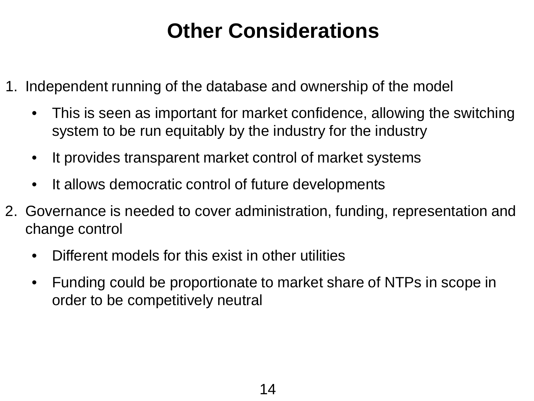## **Other Considerations**

- 1. Independent running of the database and ownership of the model
	- This is seen as important for market confidence, allowing the switching system to be run equitably by the industry for the industry
	- It provides transparent market control of market systems
	- It allows democratic control of future developments
- 2. Governance is needed to cover administration, funding, representation and change control
	- Different models for this exist in other utilities
	- Funding could be proportionate to market share of NTPs in scope in order to be competitively neutral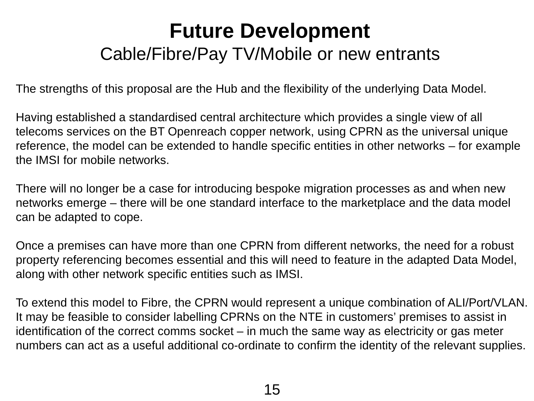### **Future Development**  Cable/Fibre/Pay TV/Mobile or new entrants

The strengths of this proposal are the Hub and the flexibility of the underlying Data Model.

Having established a standardised central architecture which provides a single view of all telecoms services on the BT Openreach copper network, using CPRN as the universal unique reference, the model can be extended to handle specific entities in other networks – for example the IMSI for mobile networks.

There will no longer be a case for introducing bespoke migration processes as and when new networks emerge – there will be one standard interface to the marketplace and the data model can be adapted to cope.

Once a premises can have more than one CPRN from different networks, the need for a robust property referencing becomes essential and this will need to feature in the adapted Data Model, along with other network specific entities such as IMSI.

To extend this model to Fibre, the CPRN would represent a unique combination of ALI/Port/VLAN. It may be feasible to consider labelling CPRNs on the NTE in customers' premises to assist in identification of the correct comms socket – in much the same way as electricity or gas meter numbers can act as a useful additional co-ordinate to confirm the identity of the relevant supplies.